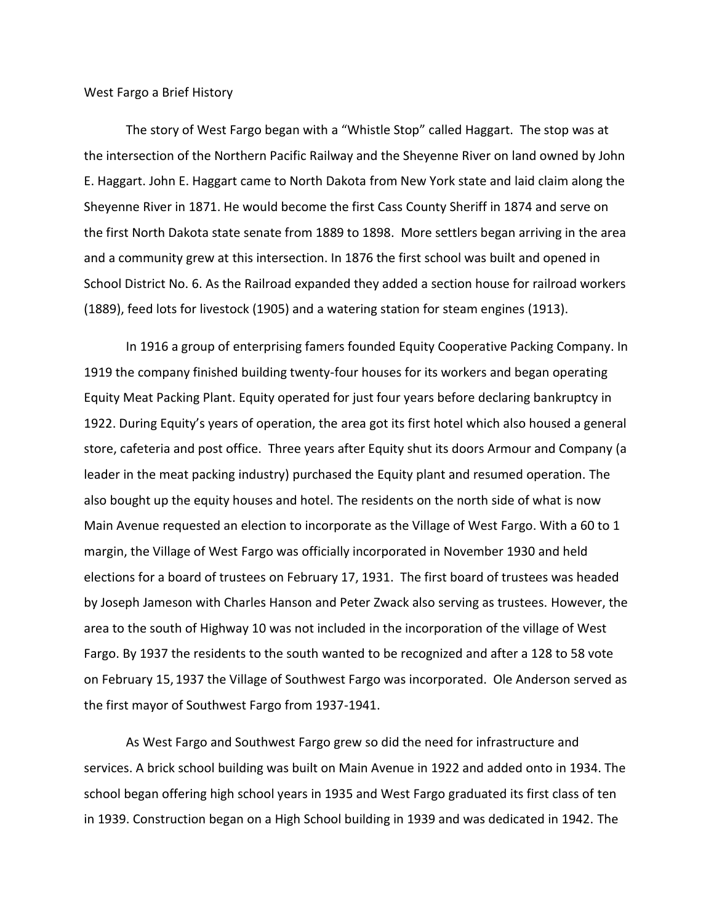West Fargo a Brief History

The story of West Fargo began with a "Whistle Stop" called Haggart. The stop was at the intersection of the Northern Pacific Railway and the Sheyenne River on land owned by John E. Haggart. John E. Haggart came to North Dakota from New York state and laid claim along the Sheyenne River in 1871. He would become the first Cass County Sheriff in 1874 and serve on the first North Dakota state senate from 1889 to 1898. More settlers began arriving in the area and a community grew at this intersection. In 1876 the first school was built and opened in School District No. 6. As the Railroad expanded they added a section house for railroad workers (1889), feed lots for livestock (1905) and a watering station for steam engines (1913).

In 1916 a group of enterprising famers founded Equity Cooperative Packing Company. In 1919 the company finished building twenty-four houses for its workers and began operating Equity Meat Packing Plant. Equity operated for just four years before declaring bankruptcy in 1922. During Equity's years of operation, the area got its first hotel which also housed a general store, cafeteria and post office. Three years after Equity shut its doors Armour and Company (a leader in the meat packing industry) purchased the Equity plant and resumed operation. The also bought up the equity houses and hotel. The residents on the north side of what is now Main Avenue requested an election to incorporate as the Village of West Fargo. With a 60 to 1 margin, the Village of West Fargo was officially incorporated in November 1930 and held elections for a board of trustees on February 17, 1931. The first board of trustees was headed by Joseph Jameson with Charles Hanson and Peter Zwack also serving as trustees. However, the area to the south of Highway 10 was not included in the incorporation of the village of West Fargo. By 1937 the residents to the south wanted to be recognized and after a 128 to 58 vote on February 15, 1937 the Village of Southwest Fargo was incorporated. Ole Anderson served as the first mayor of Southwest Fargo from 1937-1941.

As West Fargo and Southwest Fargo grew so did the need for infrastructure and services. A brick school building was built on Main Avenue in 1922 and added onto in 1934. The school began offering high school years in 1935 and West Fargo graduated its first class of ten in 1939. Construction began on a High School building in 1939 and was dedicated in 1942. The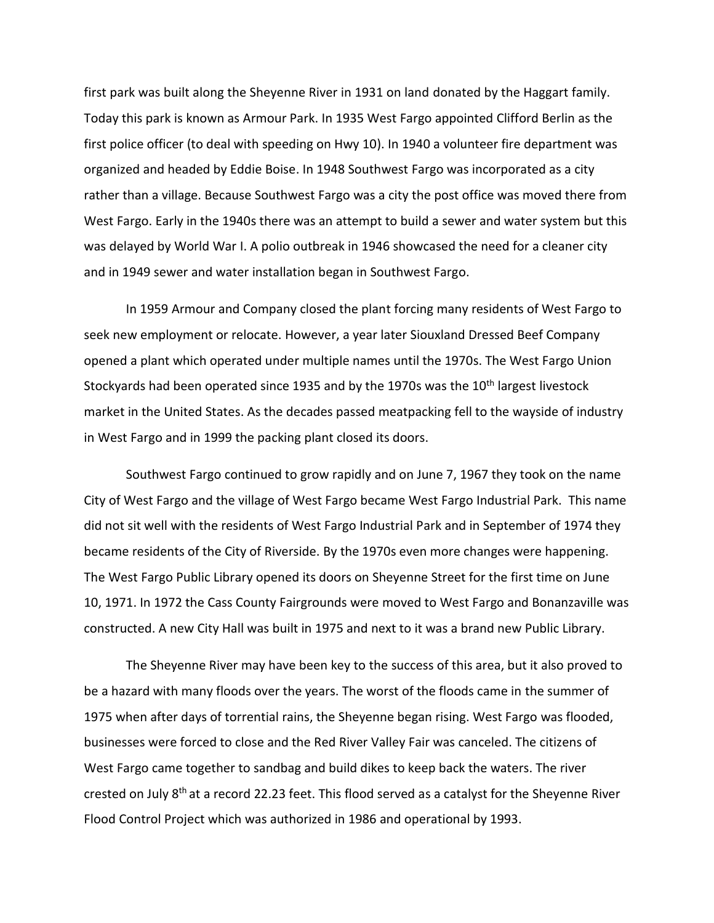first park was built along the Sheyenne River in 1931 on land donated by the Haggart family. Today this park is known as Armour Park. In 1935 West Fargo appointed Clifford Berlin as the first police officer (to deal with speeding on Hwy 10). In 1940 a volunteer fire department was organized and headed by Eddie Boise. In 1948 Southwest Fargo was incorporated as a city rather than a village. Because Southwest Fargo was a city the post office was moved there from West Fargo. Early in the 1940s there was an attempt to build a sewer and water system but this was delayed by World War I. A polio outbreak in 1946 showcased the need for a cleaner city and in 1949 sewer and water installation began in Southwest Fargo.

In 1959 Armour and Company closed the plant forcing many residents of West Fargo to seek new employment or relocate. However, a year later Siouxland Dressed Beef Company opened a plant which operated under multiple names until the 1970s. The West Fargo Union Stockyards had been operated since 1935 and by the 1970s was the  $10<sup>th</sup>$  largest livestock market in the United States. As the decades passed meatpacking fell to the wayside of industry in West Fargo and in 1999 the packing plant closed its doors.

Southwest Fargo continued to grow rapidly and on June 7, 1967 they took on the name City of West Fargo and the village of West Fargo became West Fargo Industrial Park. This name did not sit well with the residents of West Fargo Industrial Park and in September of 1974 they became residents of the City of Riverside. By the 1970s even more changes were happening. The West Fargo Public Library opened its doors on Sheyenne Street for the first time on June 10, 1971. In 1972 the Cass County Fairgrounds were moved to West Fargo and Bonanzaville was constructed. A new City Hall was built in 1975 and next to it was a brand new Public Library.

The Sheyenne River may have been key to the success of this area, but it also proved to be a hazard with many floods over the years. The worst of the floods came in the summer of 1975 when after days of torrential rains, the Sheyenne began rising. West Fargo was flooded, businesses were forced to close and the Red River Valley Fair was canceled. The citizens of West Fargo came together to sandbag and build dikes to keep back the waters. The river crested on July 8<sup>th</sup> at a record 22.23 feet. This flood served as a catalyst for the Sheyenne River Flood Control Project which was authorized in 1986 and operational by 1993.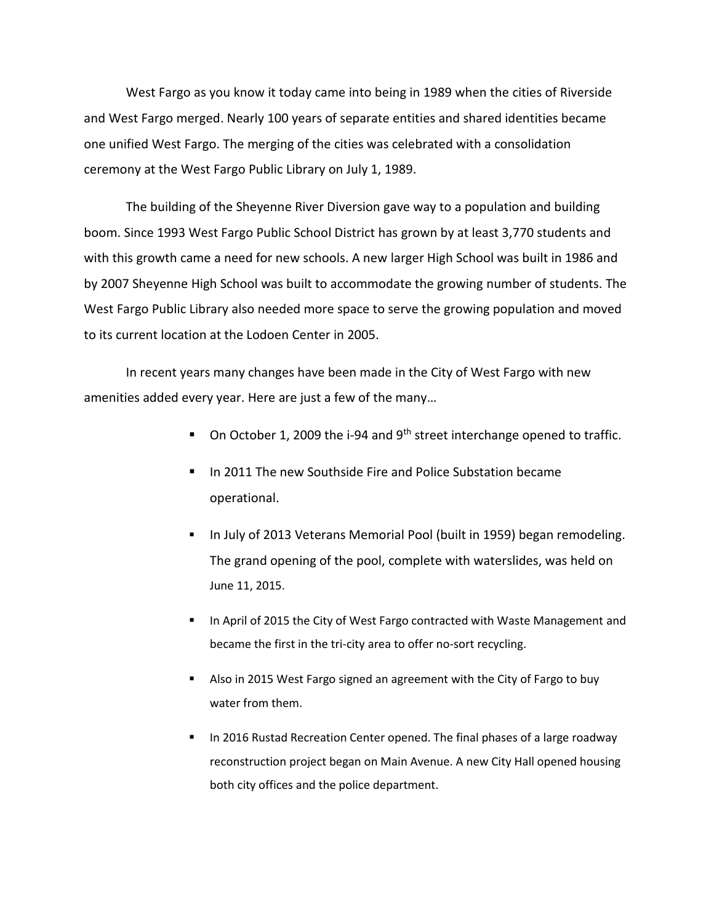West Fargo as you know it today came into being in 1989 when the cities of Riverside and West Fargo merged. Nearly 100 years of separate entities and shared identities became one unified West Fargo. The merging of the cities was celebrated with a consolidation ceremony at the West Fargo Public Library on July 1, 1989.

The building of the Sheyenne River Diversion gave way to a population and building boom. Since 1993 West Fargo Public School District has grown by at least 3,770 students and with this growth came a need for new schools. A new larger High School was built in 1986 and by 2007 Sheyenne High School was built to accommodate the growing number of students. The West Fargo Public Library also needed more space to serve the growing population and moved to its current location at the Lodoen Center in 2005.

In recent years many changes have been made in the City of West Fargo with new amenities added every year. Here are just a few of the many…

- $\blacksquare$  On October 1, 2009 the i-94 and 9<sup>th</sup> street interchange opened to traffic.
- In 2011 The new Southside Fire and Police Substation became operational.
- **In July of 2013 Veterans Memorial Pool (built in 1959) began remodeling.** The grand opening of the pool, complete with waterslides, was held on June 11, 2015.
- In April of 2015 the City of West Fargo contracted with Waste Management and became the first in the tri-city area to offer no-sort recycling.
- Also in 2015 West Fargo signed an agreement with the City of Fargo to buy water from them.
- **In 2016 Rustad Recreation Center opened. The final phases of a large roadway** reconstruction project began on Main Avenue. A new City Hall opened housing both city offices and the police department.